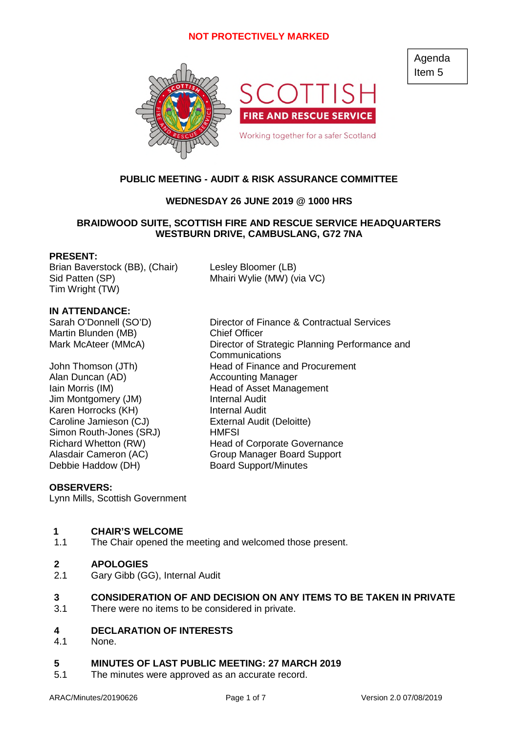

# **PUBLIC MEETING - AUDIT & RISK ASSURANCE COMMITTEE**

# **WEDNESDAY 26 JUNE 2019 @ 1000 HRS**

# **BRAIDWOOD SUITE, SCOTTISH FIRE AND RESCUE SERVICE HEADQUARTERS WESTBURN DRIVE, CAMBUSLANG, G72 7NA**

### **PRESENT:**

Brian Baverstock (BB), (Chair) Lesley Bloomer (LB) Sid Patten (SP) Mhairi Wylie (MW) (via VC) Tim Wright (TW)

## **IN ATTENDANCE:**

Martin Blunden (MB) Chief Officer

Alan Duncan (AD) Accounting Manager Jim Montgomery (JM) Internal Audit Karen Horrocks (KH) Internal Audit Caroline Jamieson (CJ) External Audit (Deloitte) Simon Routh-Jones (SRJ) HMFSI Debbie Haddow (DH) Board Support/Minutes

Sarah O'Donnell (SO'D) Director of Finance & Contractual Services Mark McAteer (MMcA) Director of Strategic Planning Performance and Communications John Thomson (JTh) Head of Finance and Procurement Iain Morris (IM) Thead of Asset Management Richard Whetton (RW) Head of Corporate Governance Alasdair Cameron (AC) Group Manager Board Support

### **OBSERVERS:**

Lynn Mills, Scottish Government

# **1 CHAIR'S WELCOME**

1.1 The Chair opened the meeting and welcomed those present.

### **2 APOLOGIES**

2.1 Gary Gibb (GG), Internal Audit

# **3 CONSIDERATION OF AND DECISION ON ANY ITEMS TO BE TAKEN IN PRIVATE**

3.1 There were no items to be considered in private.

#### **4 DECLARATION OF INTERESTS**

4.1 None.

# **5 MINUTES OF LAST PUBLIC MEETING: 27 MARCH 2019**

5.1 The minutes were approved as an accurate record.

Agenda Item 5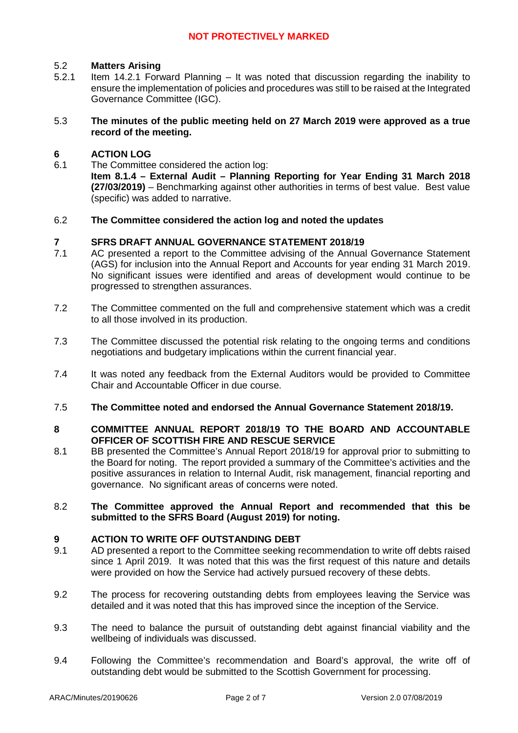#### 5.2 **Matters Arising**

5.2.1 Item 14.2.1 Forward Planning – It was noted that discussion regarding the inability to ensure the implementation of policies and procedures was still to be raised at the Integrated Governance Committee (IGC).

### 5.3 **The minutes of the public meeting held on 27 March 2019 were approved as a true record of the meeting.**

#### **6 ACTION LOG**

6.1 The Committee considered the action log: **Item 8.1.4 – External Audit – Planning Reporting for Year Ending 31 March 2018 (27/03/2019)** – Benchmarking against other authorities in terms of best value. Best value (specific) was added to narrative.

#### 6.2 **The Committee considered the action log and noted the updates**

#### **7 SFRS DRAFT ANNUAL GOVERNANCE STATEMENT 2018/19**

- 7.1 AC presented a report to the Committee advising of the Annual Governance Statement (AGS) for inclusion into the Annual Report and Accounts for year ending 31 March 2019. No significant issues were identified and areas of development would continue to be progressed to strengthen assurances.
- 7.2 The Committee commented on the full and comprehensive statement which was a credit to all those involved in its production.
- 7.3 The Committee discussed the potential risk relating to the ongoing terms and conditions negotiations and budgetary implications within the current financial year.
- 7.4 It was noted any feedback from the External Auditors would be provided to Committee Chair and Accountable Officer in due course.
- 7.5 **The Committee noted and endorsed the Annual Governance Statement 2018/19.**

### **8 COMMITTEE ANNUAL REPORT 2018/19 TO THE BOARD AND ACCOUNTABLE OFFICER OF SCOTTISH FIRE AND RESCUE SERVICE**

8.1 BB presented the Committee's Annual Report 2018/19 for approval prior to submitting to the Board for noting. The report provided a summary of the Committee's activities and the positive assurances in relation to Internal Audit, risk management, financial reporting and governance. No significant areas of concerns were noted.

### 8.2 **The Committee approved the Annual Report and recommended that this be submitted to the SFRS Board (August 2019) for noting.**

#### **9 ACTION TO WRITE OFF OUTSTANDING DEBT**

- 9.1 AD presented a report to the Committee seeking recommendation to write off debts raised since 1 April 2019. It was noted that this was the first request of this nature and details were provided on how the Service had actively pursued recovery of these debts.
- 9.2 The process for recovering outstanding debts from employees leaving the Service was detailed and it was noted that this has improved since the inception of the Service.
- 9.3 The need to balance the pursuit of outstanding debt against financial viability and the wellbeing of individuals was discussed.
- 9.4 Following the Committee's recommendation and Board's approval, the write off of outstanding debt would be submitted to the Scottish Government for processing.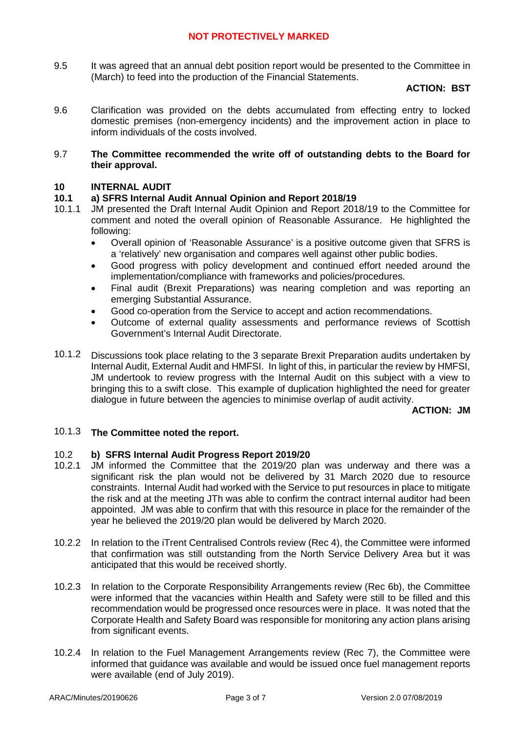9.5 It was agreed that an annual debt position report would be presented to the Committee in (March) to feed into the production of the Financial Statements.

## **ACTION: BST**

9.6 Clarification was provided on the debts accumulated from effecting entry to locked domestic premises (non-emergency incidents) and the improvement action in place to inform individuals of the costs involved.

### 9.7 **The Committee recommended the write off of outstanding debts to the Board for their approval.**

## **10 INTERNAL AUDIT**

#### **10.1 a) SFRS Internal Audit Annual Opinion and Report 2018/19**

- 10.1.1 JM presented the Draft Internal Audit Opinion and Report 2018/19 to the Committee for comment and noted the overall opinion of Reasonable Assurance. He highlighted the following:
	- Overall opinion of 'Reasonable Assurance' is a positive outcome given that SFRS is a 'relatively' new organisation and compares well against other public bodies.
	- Good progress with policy development and continued effort needed around the implementation/compliance with frameworks and policies/procedures.
	- Final audit (Brexit Preparations) was nearing completion and was reporting an emerging Substantial Assurance.
	- Good co-operation from the Service to accept and action recommendations.
	- Outcome of external quality assessments and performance reviews of Scottish Government's Internal Audit Directorate.
- 10.1.2 Discussions took place relating to the 3 separate Brexit Preparation audits undertaken by Internal Audit, External Audit and HMFSI. In light of this, in particular the review by HMFSI, JM undertook to review progress with the Internal Audit on this subject with a view to bringing this to a swift close. This example of duplication highlighted the need for greater dialogue in future between the agencies to minimise overlap of audit activity.

### **ACTION: JM**

### 10.1.3 **The Committee noted the report.**

#### 10.2 **b) SFRS Internal Audit Progress Report 2019/20**

- 10.2.1 JM informed the Committee that the 2019/20 plan was underway and there was a significant risk the plan would not be delivered by 31 March 2020 due to resource constraints. Internal Audit had worked with the Service to put resources in place to mitigate the risk and at the meeting JTh was able to confirm the contract internal auditor had been appointed. JM was able to confirm that with this resource in place for the remainder of the year he believed the 2019/20 plan would be delivered by March 2020.
- 10.2.2 In relation to the iTrent Centralised Controls review (Rec 4), the Committee were informed that confirmation was still outstanding from the North Service Delivery Area but it was anticipated that this would be received shortly.
- 10.2.3 In relation to the Corporate Responsibility Arrangements review (Rec 6b), the Committee were informed that the vacancies within Health and Safety were still to be filled and this recommendation would be progressed once resources were in place. It was noted that the Corporate Health and Safety Board was responsible for monitoring any action plans arising from significant events.
- 10.2.4 In relation to the Fuel Management Arrangements review (Rec 7), the Committee were informed that guidance was available and would be issued once fuel management reports were available (end of July 2019).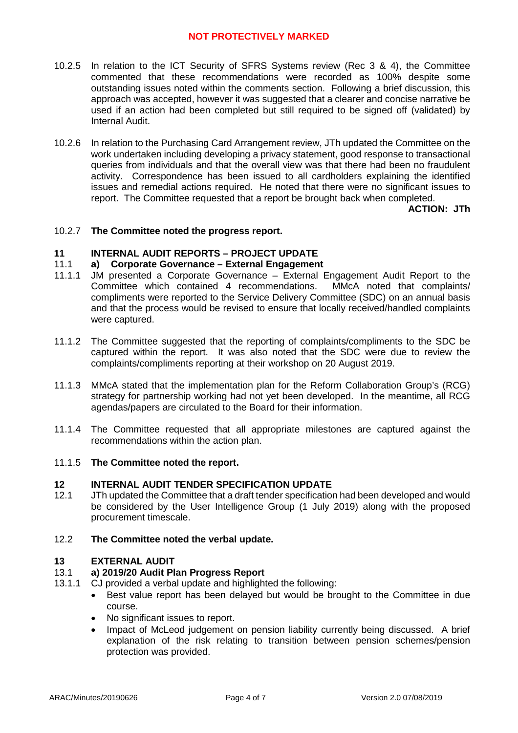- 10.2.5 In relation to the ICT Security of SFRS Systems review (Rec 3 & 4), the Committee commented that these recommendations were recorded as 100% despite some outstanding issues noted within the comments section. Following a brief discussion, this approach was accepted, however it was suggested that a clearer and concise narrative be used if an action had been completed but still required to be signed off (validated) by Internal Audit.
- 10.2.6 In relation to the Purchasing Card Arrangement review, JTh updated the Committee on the work undertaken including developing a privacy statement, good response to transactional queries from individuals and that the overall view was that there had been no fraudulent activity. Correspondence has been issued to all cardholders explaining the identified issues and remedial actions required. He noted that there were no significant issues to report. The Committee requested that a report be brought back when completed.

**ACTION: JTh**

## 10.2.7 **The Committee noted the progress report.**

#### **11 INTERNAL AUDIT REPORTS – PROJECT UPDATE**

#### 11.1 **a) Corporate Governance – External Engagement**

- 11.1.1 JM presented a Corporate Governance – External Engagement Audit Report to the Committee which contained 4 recommendations. MMcA noted that complaints/ compliments were reported to the Service Delivery Committee (SDC) on an annual basis and that the process would be revised to ensure that locally received/handled complaints were captured.
- 11.1.2 The Committee suggested that the reporting of complaints/compliments to the SDC be captured within the report. It was also noted that the SDC were due to review the complaints/compliments reporting at their workshop on 20 August 2019.
- 11.1.3 MMcA stated that the implementation plan for the Reform Collaboration Group's (RCG) strategy for partnership working had not yet been developed. In the meantime, all RCG agendas/papers are circulated to the Board for their information.
- 11.1.4 The Committee requested that all appropriate milestones are captured against the recommendations within the action plan.

### 11.1.5 **The Committee noted the report.**

#### **12 INTERNAL AUDIT TENDER SPECIFICATION UPDATE**

12.1 JTh updated the Committee that a draft tender specification had been developed and would be considered by the User Intelligence Group (1 July 2019) along with the proposed procurement timescale.

#### 12.2 **The Committee noted the verbal update.**

#### **13 EXTERNAL AUDIT**

#### 13.1 **a) 2019/20 Audit Plan Progress Report**

- 13.1.1 CJ provided a verbal update and highlighted the following:
	- Best value report has been delayed but would be brought to the Committee in due course.
	- No significant issues to report.
	- Impact of McLeod judgement on pension liability currently being discussed. A brief explanation of the risk relating to transition between pension schemes/pension protection was provided.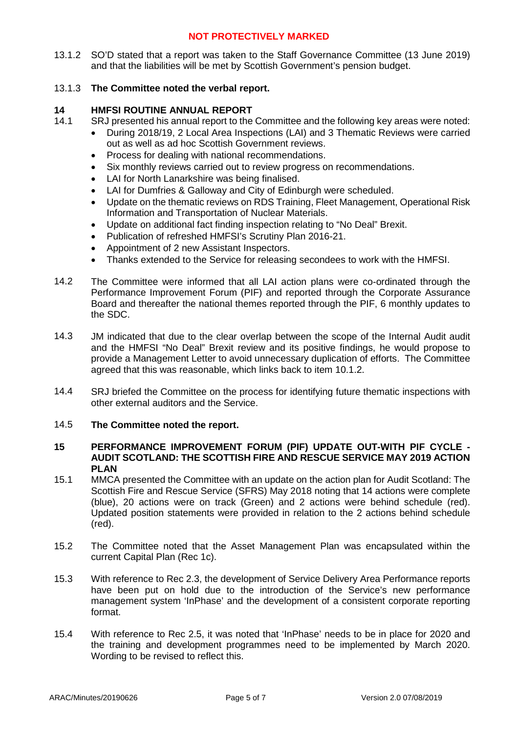13.1.2 SO'D stated that a report was taken to the Staff Governance Committee (13 June 2019) and that the liabilities will be met by Scottish Government's pension budget.

# 13.1.3 **The Committee noted the verbal report.**

#### **14 HMFSI ROUTINE ANNUAL REPORT**

- 14.1 SRJ presented his annual report to the Committee and the following key areas were noted:
	- During 2018/19, 2 Local Area Inspections (LAI) and 3 Thematic Reviews were carried out as well as ad hoc Scottish Government reviews.
	- Process for dealing with national recommendations.
	- Six monthly reviews carried out to review progress on recommendations.
	- LAI for North Lanarkshire was being finalised.
	- LAI for Dumfries & Galloway and City of Edinburgh were scheduled.
	- Update on the thematic reviews on RDS Training, Fleet Management, Operational Risk Information and Transportation of Nuclear Materials.
	- Update on additional fact finding inspection relating to "No Deal" Brexit.
	- Publication of refreshed HMFSI's Scrutiny Plan 2016-21.
	- Appointment of 2 new Assistant Inspectors.
	- Thanks extended to the Service for releasing secondees to work with the HMFSI.
- 14.2 The Committee were informed that all LAI action plans were co-ordinated through the Performance Improvement Forum (PIF) and reported through the Corporate Assurance Board and thereafter the national themes reported through the PIF, 6 monthly updates to the SDC.
- 14.3 JM indicated that due to the clear overlap between the scope of the Internal Audit audit and the HMFSI "No Deal" Brexit review and its positive findings, he would propose to provide a Management Letter to avoid unnecessary duplication of efforts. The Committee agreed that this was reasonable, which links back to item 10.1.2.
- 14.4 SRJ briefed the Committee on the process for identifying future thematic inspections with other external auditors and the Service.
- 14.5 **The Committee noted the report.**

### **15 PERFORMANCE IMPROVEMENT FORUM (PIF) UPDATE OUT-WITH PIF CYCLE - AUDIT SCOTLAND: THE SCOTTISH FIRE AND RESCUE SERVICE MAY 2019 ACTION PLAN**

- 15.1 MMCA presented the Committee with an update on the action plan for Audit Scotland: The Scottish Fire and Rescue Service (SFRS) May 2018 noting that 14 actions were complete (blue), 20 actions were on track (Green) and 2 actions were behind schedule (red). Updated position statements were provided in relation to the 2 actions behind schedule (red).
- 15.2 The Committee noted that the Asset Management Plan was encapsulated within the current Capital Plan (Rec 1c).
- 15.3 With reference to Rec 2.3, the development of Service Delivery Area Performance reports have been put on hold due to the introduction of the Service's new performance management system 'InPhase' and the development of a consistent corporate reporting format.
- 15.4 With reference to Rec 2.5, it was noted that 'InPhase' needs to be in place for 2020 and the training and development programmes need to be implemented by March 2020. Wording to be revised to reflect this.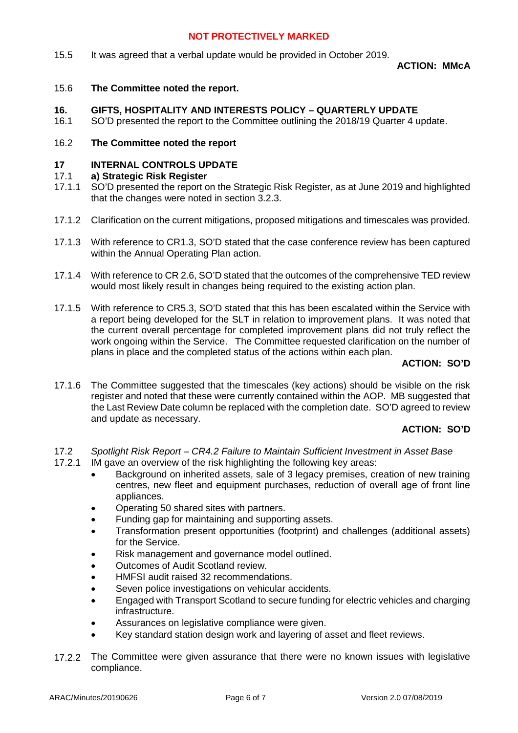15.5 It was agreed that a verbal update would be provided in October 2019.

**ACTION: MMcA**

15.6 **The Committee noted the report.**

#### **16. GIFTS, HOSPITALITY AND INTERESTS POLICY – QUARTERLY UPDATE**

16.1 SO'D presented the report to the Committee outlining the 2018/19 Quarter 4 update.

#### 16.2 **The Committee noted the report**

#### **17 INTERNAL CONTROLS UPDATE**

#### 17.1 **a) Strategic Risk Register**

- 17.1.1 SO'D presented the report on the Strategic Risk Register, as at June 2019 and highlighted that the changes were noted in section 3.2.3.
- 17.1.2 Clarification on the current mitigations, proposed mitigations and timescales was provided.
- 17.1.3 With reference to CR1.3, SO'D stated that the case conference review has been captured within the Annual Operating Plan action.
- 17.1.4 With reference to CR 2.6, SO'D stated that the outcomes of the comprehensive TED review would most likely result in changes being required to the existing action plan.
- 17.1.5 With reference to CR5.3, SO'D stated that this has been escalated within the Service with a report being developed for the SLT in relation to improvement plans. It was noted that the current overall percentage for completed improvement plans did not truly reflect the work ongoing within the Service. The Committee requested clarification on the number of plans in place and the completed status of the actions within each plan.

**ACTION: SO'D**

17.1.6 The Committee suggested that the timescales (key actions) should be visible on the risk register and noted that these were currently contained within the AOP. MB suggested that the Last Review Date column be replaced with the completion date. SO'D agreed to review and update as necessary.

## **ACTION: SO'D**

- 17.2 17.2.1 *Spotlight Risk Report – CR4.2 Failure to Maintain Sufficient Investment in Asset Base* IM gave an overview of the risk highlighting the following key areas:
	- Background on inherited assets, sale of 3 legacy premises, creation of new training centres, new fleet and equipment purchases, reduction of overall age of front line appliances.
	- Operating 50 shared sites with partners.
	- Funding gap for maintaining and supporting assets.
	- Transformation present opportunities (footprint) and challenges (additional assets) for the Service.
	- Risk management and governance model outlined.
	- Outcomes of Audit Scotland review.
	- HMFSI audit raised 32 recommendations.
	- Seven police investigations on vehicular accidents.
	- Engaged with Transport Scotland to secure funding for electric vehicles and charging infrastructure.
	- Assurances on legislative compliance were given.
	- Key standard station design work and layering of asset and fleet reviews.
- 17.2.2 The Committee were given assurance that there were no known issues with legislative compliance.